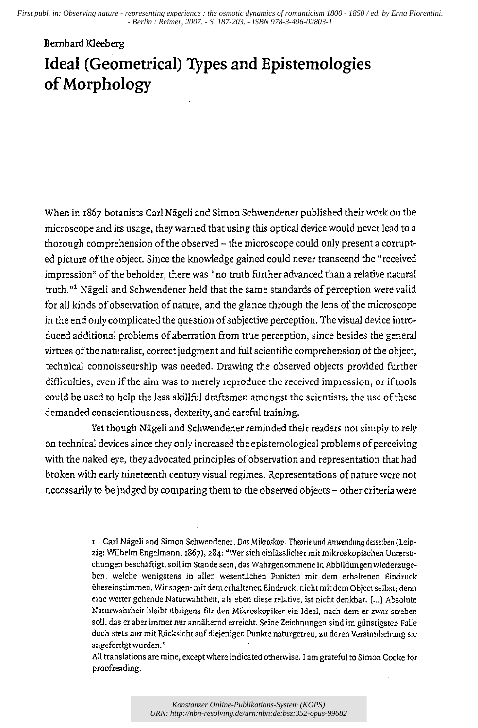*First publ. in: Observing nature - representing experience : the osmotic dynamics of romanticism 1800 - 1850 / ed. by Erna Fiorentini. - Berlin : Reimer, 2007. - S. 187-203. - ISBN 978-3-496-02803-1*

## **Bernhard** Kleeberg **Ideal (Geometrical) Types and EpistemoIogies of Morphology**

When in 1867 botanists Carl Nageli and Simon Schwendener published their work on the microscope and its usage, they warned that using this optical device would never lead to a thorough comprehension of the observed - the microscope could only present a corrupted picture of the object. Since the knowledge gained could never transcend the "received impression" of the beholder, there was "no truth further advanced than a relative natural truth."<sup>1</sup> Nägeli and Schwendener held that the same standards of perception were valid for all kinds of observation of nature, and the glance through the lens of the microscope in the end only complicated the question of subjective perception. The visual device introduced additional problems of aberration from true perception, since besides the general virtues of the naturalist, correct judgment and full scientific comprehension of the object, technical connoisseurship was needed. Drawing the observed objects provided further difficulties, even if the aim was to merely reproduce the received impression, or if tools could be used to help the less skillfill draftsmen amongst the scientists: the use of these demanded conscientiousness, dexterity, and careful training.

Yet though Nägeli and Schwendener reminded their readers not simply to rely on technical devices since they only increased the epistemological problems of perceiving with the naked eye, they advocated principles of observation and representation that had broken with early nineteenth century visual regimes. Representations of nature were not necessarily to be judged by comparing them to the observed objects - other criteria were

> 1 Carl Nägeli and Simon Schwendener, Das Mikroskop. Theorie und Anwendung desselben (Leipzig: Wilhelm Engelmann, 1867), 284: "Wer sich einlässlicher mit mikroskopischen Untersuchungen beschiiftigt, soli im Stande sein, das Wahrgenommene in Abbildungen wiederzugeben, welche wenigstens in alIen wesentlichen Punkten mit dem erhaltenen Eindruck iibereinstimmen. Wir sagen: mit dem erhaltenen Eindruck, nicht mit dem Object selbst; denn eine weiter gehende Naturwahrheit, als eben diese relative, ist nicht denkbar. [...] Absolute Naturwahrheit bleibt übrigens für den Mikroskopiker ein Ideal, nach dem er zwar streben soll, das er aber immer nur annähernd erreicht. Seine Zeichnungen sind im günstigsten Falle doch stets nur mit Riicksicht auf diejenigen Punkte naturgetreu, zU deren Versinnlichung sie angefertigt wurden.»

> All translations are mine, except where indicated otherwise. I am grateful to Simon Cooke for proofreading.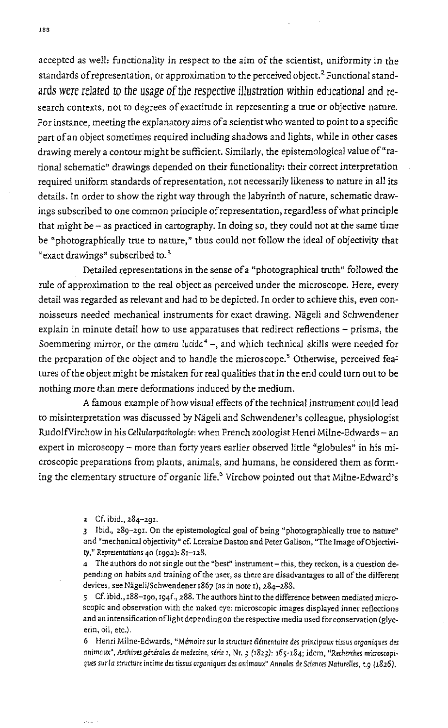accepted as well: functionality in respect to the aim of the scientist, uniformity in the standards of representation, or approximation to the perceived object.<sup>2</sup> Functional standards were related to the usage of the respective illustration within educational and research contexts, not to degrees of exactitude in representing a true or objective nature. For instance, meeting the explanatory aims of a scientist who wanted to point to a specific part of an object sometimes required including shadows and lights, while in other cases drawing merely a contour might be sufficient. Similarly, the epistemological value of "rational schematic" drawings depended on their functionality: their correct interpretation required uniform standards of representation, not necessarily likeness to nature in all its details. In order to show the right way through the labyrinth of nature, schematic drawings subscribed to one common principle of representation, regardless of what principle that might be - as practiced in cartography. In doing so, they could not at the same time be "photographically true to nature," thus could not follow the ideal of objectivity that "exact drawings" subscribed to.3

Detailed representations in the sense of a "photographical truth" followed the rule of approximation to the real object as perceived under the microscope. Here, every detail was regarded as relevant and had to be depicted. In order to achieve this, even connoisseurs needed mechanical instruments for exact drawing. Nägeli and Schwendener explain in minute detail how to use apparatuses that redirect reflections - prisms, the Soemmering mirror, or the *camera* lucida<sup>4</sup> -, and which technical skills were needed for the preparation of the object and to handle the microscope.<sup>5</sup> Otherwise, perceived features of the object might be mistaken for real qualities that in the end could turn out to be nothing more than mere deformations induced by the medium.

A famous example of how visual effects of the technical instrument could lead to misinterpretation was discussed by Nägeli and Schwendener's colleague, physiologist RudolfVirchow in his *Cellularpathologie:* when French zoologist Henri Milne-Edwards - an expert in microscopy - more than forty years earlier observed little "globules" in his microscopic preparations from plants, animals, and humans, he considered them as forming the elementary structure of organic life.<sup>6</sup> Virchow pointed out that Milne-Edward's

4 The authors do not single out the "best" instrument - this, they reckon, is a question depending on habits and training of the user, as there are disadvantages to all of the different devices, see Nägeli/Schwendener 1867 (as in note 1), 284-288.

5 Cf. ibid., 188-190, I94f., 288. The authors hint to the difference between mediated microscopic and observation with the naked eye: microscopic images displayed inner reflections and an intensification of light depending on the respective media used for conservation (glyc**erin, oil, etc.).** 

6 Henri Milne-Edwards, "Memoire sur la structure elementaire des principaux tissus or9aniques des animaux", Archives générales de medecine, série *1*, Nr. 3 (1823): 165-184; idem, "Recherches microscopiques surla structure intime des tissus oraaniques des animaux" Annales de Sciences Naturelles, t.9 (1826).

<sup>2</sup> Cf. ibid., 284-291.

<sup>3</sup> Ibid., 289-291. On the epistemological goal of being "photographically true to nature" and "mechanical objectivity" cf. Lorraine Daston and Peter Galison, "The Image ofObjectivity," Representations 40 (1992): 81-128.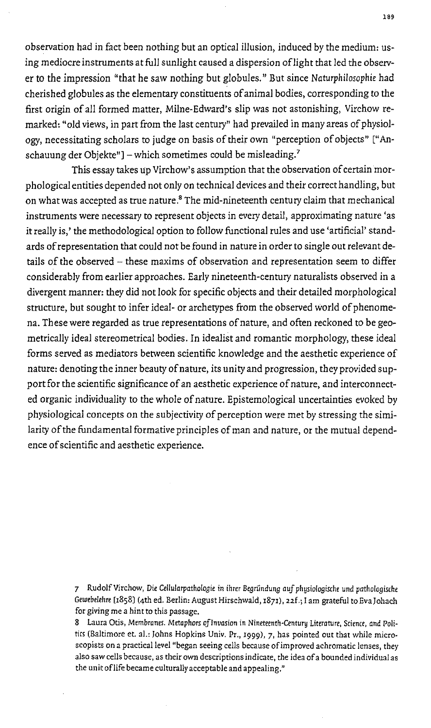observation had in fact been nothing but an optical illusion, induced by the medium: using mediocre instruments at full sunlight caused a dispersion oflight that led the observer to the impression "that he saw nothing but globules." But since *Naturphilosophie* had cherished globules as the elementary constituents of animal bodies, corresponding to the first origin of all formed matter, Milne-Edward's slip was not astonishing, Virchow remarked: "old views, in part from the last century" had prevailed in many areas of physiology, necessitating scholars to judge on basis of their own "perception of objects" ["Anschauung der Objekte"] – which sometimes could be misleading.<sup>7</sup>

This essay takes up Virchow's assumption that the observation of certain morphological entities depended not only on technical devices and their correct handling, but on what was accepted as true nature.<sup>8</sup> The mid-nineteenth century claim that mechanical instruments were necessary to represent objects in every detail, approximating nature 'as it really is,' the methodological option to follow functional rules and use 'artificial' standards of representation that could not be found in nature in order to single out relevant details of the observed - these maxims of observation and representation seem to differ considerably from earlier approaches. Early nineteenth-century naturalists observed in a divergent manner: they did not look for specific objects and their detailed morphological structure, but sought to infer ideal- or archetypes from the observed world of phenomena. These were regarded as true representations of nature, and often reckoned to be geometrically ideal stereometrical bodies. In idealist and romantic morphology, these ideal forms served as mediators between scientific knowledge and the aesthetic experience of narure: denoting the inner beauty of narure, its unity and progression, they provided support for the scientific significance of an aesthetic experience of nature, and interconnected organic individuality to the whole of nature. Epistemological uncertainties evoked by physiological concepts on the subjectivity of perception were met by stressing the similarity of the fundamental formative principles of man and nature, or the mutual dependence of scientific and aesthetic experience.

> 7 Rudolf Virchow, Die Cellularpathologie in ihrer Begründung auf physiologische und pathologische Gewebelehre [1858] (4th ed. Berlin: August Hirschwald, 1871), 22f.; I am grateful to EvaJohach for giving me a hint to this passage.

> 8 Laura Otis, Membranes. Metaphors of Invasion in Nineteenth-Century Literature, Science, and Politics (Baltimore et. al.: Johns Hopkins Univ. Pr., 1999), 7, has pointed out that while microscopists on a practical level "began seeing cells because ofimproved achromatic lenses, they also saw cells because, as their own descriptions indicate, the idea of a bounded individual as the unit oflife became culturally acceptable and appealing."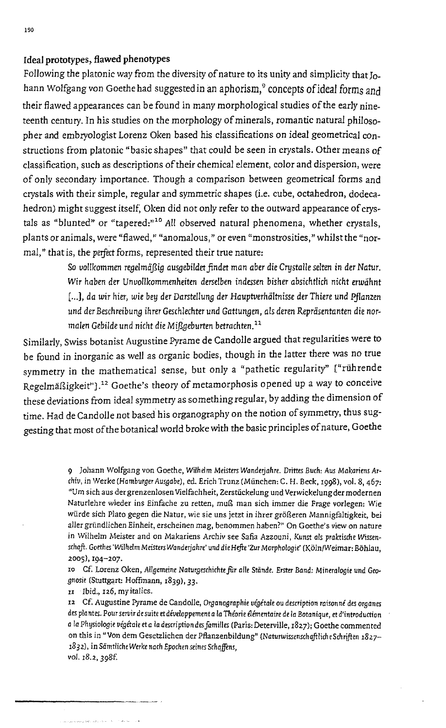## Ideal prototypes, flawed phenotypes

Following the platonic way from the diversity of nature to its unity and simplicity that I<sub>0</sub>. hann Wolfgang von Goethe had suggested in an aphorism,<sup>9</sup> concepts of ideal forms and their flawed appearances can be found in many *morphological* studies of the *early* nineteenth centuty. In his studies on the *morphology* of minerals, romantic natural philosopher and embryologist Lorenz Oken based his classifications on ideal geometrical constructions from platonic "basic shapes" that could be seen in *crystals.* Other means of classification, such as descriptions of their chemical element, *color* and dispersion, were of only secondary importance. Though a comparison between geometrical forms and *crystals* with their simple, regular and symmetric shapes (Le. cube, octahedron, dodecahedron) might suggest itself; Oken did not *only* refer to the outward appearance of crystals as "blunted" or "tapered:"<sup>10</sup> All observed natural phenomena, whether crystals, plants or animals, were "flawed," "anomalous," or even "monstrosities," whilst the "normal," that is, the perfect forms, represented their true nature:

> So vollkommen regelmäßig ausgebildet findet man aber die Crystalle selten in der Natur. *Wir haben* der Unvollkommenheiten derselben indessen *bisher* absichtlich nicht *erwiihnt*  [...], da wir hier, wie bey der Darstellung der Hauptverhältnisse der Thiere und Pflanzen und der Beschreibung ihrer Geschlechter und Gattungen, als deren Repräsentanten die normalen Gebilde und nicht die Mißgeburten betrachten.<sup>11</sup>

*Similarly,* Swiss botanist Augustine Pyrame de Candolle argued that regularities were to be found in inorganic as *well* as organic bodies, though in the latter there was no true symmetry in the mathematical sense, but *only* a "pathetic regularity" ["riihrende Regelmäßigkeit"].<sup>12</sup> Goethe's theory of metamorphosis opened up a way to conceive these deviations from ideal symmetry as something regular, by adding the dimension of time. Had de Candolle not based his organography on the notion of symmetry, thus suggesting that most of the botanical world broke with the basic principles of nature, Goethe

> 9 Johann Wolfgang von Goethe, Wilhelm Meisters Wanderjahre. Drittes Buch: Aus Makariens Ar*chiv,* in Werke *(Hamburger Ausgabe),* ed. Brich Trunz (Munchen: C. H. Beck, '998), vol. 8, 467: "Um sich aus der grenzenlosen Vielfachheit, Zerstuckelung und Verwickelungder modernen Naturlehre wieder ins Einfache zu retten, muß man sich immer die Frage vorlegen: Wie *wiirde* sich Plato gegen die Natur, wie sie uns jetzt in ihrer grogeren Mannigfaltigkeit, bei aller gründlichen Einheit, erscheinen mag, benommen haben?" On Goethe's view on nature in Wilhelm Meister and on Makariens Archiv see Safia Azzouni, Kunst als praktische Wissenschaft. Goethes 'Wilhelm Meisters Wanderjahre' und die Hefte 'Zur Morphologie' (Köln/Weimar: Böhlau, 2005), 194-207.

> ID cr. Lorenz Oken, Allgemeine *Naturgeschichtefor* alle *Stande. Erster Band: Mineralogie* und Geognosie (Stuttgart: Hoffmann, 1839), 33.

II Ibid., 126, my italics.

12 Cr. Augustine Pyrame de CandoJle, *Orsanographie vigitale* DU description raisonni des *organes*  des plo *ntes.* Pour *SeTvir* de suite *etdiveloppementa* la *Thiorie e1ementaire* de la Botanique, *et* d'introduction *a* la Physiologie *vegitale eta* la description des families (Paris: DeterviUe, ,827)' Goethe commented on this in *"Von* dem Gesetzlichen der Pflanzenbildung" (NaturwissenschaftlicheSchriflen *18I7- 1831),* in Samtliche *Werke no* ch *Epochen seines Schqlfens,*  vol. 18.2, 398f.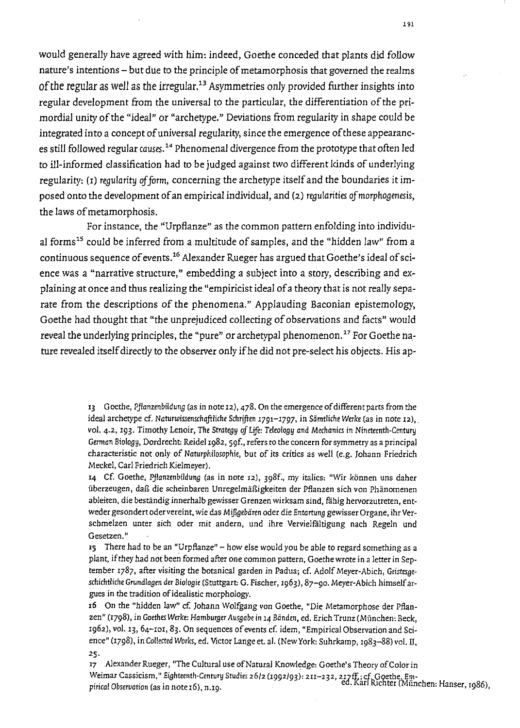would generally have agreed with him: indeed, Goethe conceded that plants did follow nature's intentions - but due to the principle of metamorphosis that governed the realms of the regular as well as the irregular.<sup>13</sup> Asymmetries only provided further insights into regular development from the universal to the particular, the differentiation of the primordial unity of the "ideal" or "archetype." Deviations from regularity in shape could be integrated into a concept of universal regularity, since the emergence of these appearances still followed regular *causes."* Phenomenal divergence from the prototype that often led to ill-informed classification had to be judged against two different kinds of underlying regularity: (1) regularity *of form,* concerning the archetype itself and the boundaries it imposed onto the development of an empirical individual, and (2) regularities *of morphogenesis,*  the laws of metamorphosis.

For instance, the "Urpflanze" as the common pattern enfolding into individual forms<sup>15</sup> could be inferred from a multitude of samples, and the "hidden law" from a continuous sequence of events.'6 Alexander Rueger has argued that Goethe's ideal of science was a "narrative structure," embedding a subject into a story, describing and explaining at once and thus realizing the "empiricist ideal of a theory that is not really separate from the descriptions of the phenomena." Applauding Baconian epistemology, Goethe had thought that "the unprejudiced collecting of observations and facts" would reveal the underlying principles, the "pure" or archetypal phenomenon.<sup>17</sup> For Goethe nature revealed itself directly to the observer only ifhe did not pre-select his objects. His ap-

> 13 Goethe, Pflanzenbildung (as in note 12), 478. On the emergence of different parts from the ideal archetype cf. Naturwissenschaftliche Schriften 1791-1797, in Sämtliche Werke (as in note 12), vol. 4.2, 193. Timothy Lenoir, The Strategy of Life: Teleology and Mechanics in Nineteenth-Century German Biology, Dordrecht: Reidel 1982, 59f., refers to the concern for symmetry as a principal characteristic not only of Naturphilosophie, but of its critics as weJI (e.g. 10hann Friedrich Meckel, Carl Friedrich Kielmeyer).

> 14 Cf. Goethe, Pjlanzenbildung (as in note 12), 398f:, my italics: "Wir *kbnnen* uns daher überzeugen, daß die scheinbaren Unregelmäßigkeiten der Pflanzen sich von Phänomenen ableiten, die beständig innerhalb gewisser Grenzen wirksam sind, fähig hervorzutreten, entweder gesondert odervereint, wie das *M!Jlgebaren* oder die Entartung gewisser Organe, ihr Verschmelzen unter sich oder mit andern, und ihre Vervielfältigung nach Regeln und **Gesetzen."**

> '5 There had to be an "UrpBanze" - how else would you be able to regard something as a plant, if they had not been formed after one common pattern, Goethe wrote in a letter in September 1787, after visiting the botanical garden in Padua; cf. Adolf Meyer-Abich, *Geistes,ge*schichtliche Grundlagen der Biologie (Stuttgart: G. Fischer, 1963), 87-90. Meyer-Abich himself argues in the tradition of idealistic morphology.

> ,6 On the "hidden law" cf. 10hann WOlfgang *von* Goethe, "Die Metamorphose der PBanzen" (1798), in Goethes Werke: Hamburger Ausgabe in 14 Bänden, ed. Erich Trunz (München: Beck, 1962), vol. 13, 64-101, 83. On sequences of events cf. idem, "Empirical Observation and Science" (1798), in Collected Works, ed. Victor Lange et. al. (New York: Suhrkamp, 1983-88) vol. II, 25·

17 Alexander Rueger, "The Cultural use of Natural Knowledge: Goethe's Theory of Color in Weimar Cassicism," Eighteenth-Century Studies 26/2 (1992/93): 211–232, 217ff.; cf. Goethe, Em-<br>pirical Observation (as in note 16), n.10.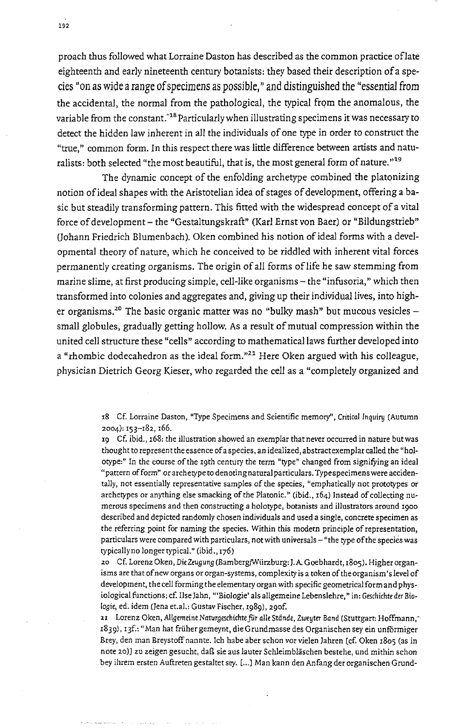proach thus followed what Lorraine Daston has described as the common practice oflate eighteenth and early nineteenth century botanists: they based their description of a species "on as wide a range of specimens as possible," and distinguished the "essential from the accidental, the normal from the pathological, the typical from the anomalous, the variable from the constant."'8 Particularly when illustrating specimens it was necessary to detect the hidden law inherent in all the individuals of one type in order to construct the "true," common form. In this respect there was little difference between artists and naturalists: both selected "the most beautiful, that is, the most general form of nature. »19

The dynamic concept of the enfolding archetype combined the platonizing notion of ideal shapes with the Aristotelian idea of stages of development, offering a basic but steadily transforming pattern. This fitted with the widespread concept of a vital force of development - the "Gestaltungskraft" (Karl Ernst von Baer) or "Bildungstrieb" (Johann Friedrich Blumenbach). Oken combined his notion of ideal forms with a developmental theory of nature, which he conceived to be riddled with inherent vital forces permanently creating organisms. The origin of all forms of life he saw stemming from marine slime, at first producing simple, cell-like organisms – the "infusoria," which then transformed into colonies and aggregates and, giving up their individual lives, into higher organisms.<sup>20</sup> The basic organic matter was no "bulky mash" but mucous vesicles  $$ small globules, gradually getting hollow. As a result of mutual compression within the united cell structure these "cells" according to mathematical laws further developed into  $a$  "rhombic dodecahedron as the ideal form."<sup>21</sup> Here Oken argued with his colleague, physician Dietrich Georg Kieser, who regarded the cell as a "completely organized and

> ,8 Cf. Lorraine Daston, "Type Specimens and Scientific memory", Critical Inquiry (Autumn 2004): 153-182, 166.

> 19 Cf. ibid., 168: the illustration showed an exemplar that never occurred in nature butwas thought to represent the essence of a species, an idealized, abstract exemplar called the "holotype:" In the course of the 19th century the term "type" changed from signifying an ideal "pattern ofform" or archetype to denoting natural particulars. Typespecimens were accidentally, not essentially representative samples of the species, "emphatically not prototypes or archetypes or anything else smacking of the Platonic." (ibid., 164) Instead of collecting numerous specimens and then constructing a holotype, botanists and illustrators around '900 described and depicted randomly chosen individuals and used a single, concrete specimen as the referring point for naming the species. Within this modern principle of representation, particulars were compared with particulars, not with universals - "the type of the species was typically no longertypical." (ibid., 176)

> 20 Cf. Lorenz Oken, DieZeuguny (Bamberg/Wiirzburg: I.A Goebhardt, 1805). Higher organisms are that of new organs or organ-systems, complexity is a token of the organism's level of development, the cell forming the elementary organ with specific geometrical form and physiological functions; cf. Ilse Jahn, "'Biologie' als allgemeine Lebenslehre," in: Geschichte der Biologie, ed. idem (jena et.aI.: Gustav Fischer, 1989), 290f.

> 21 Lorenz Oken, Allgemeine Naturgeschichte für alle Stände, Zweyter Band (Stuttgart: Hoffmann," 1839), I 3f.: "Man hat fruher gemeynt, die Grundmasse des Organischen sey ein unf6rmiger Brey, den man Breystoffnannte. !ch habe aber schon vor vielen lahren [cf. Oken 1805 (as in note 20)J zu zeigen gesucht, daß sie aus lauter Schleimbläschen bestehe, und mithin schon bey ihrem ersten Auftreten gestaltet sey. [ ... J Man kann den Anfang derorganischen Grund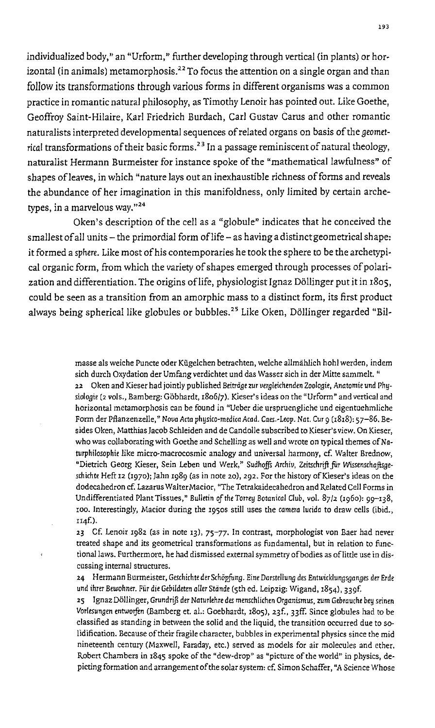individualized body," an "Urform," further developing through vertical (in plants) or horizontal (in animals) metamorphosis.<sup>22</sup> To focus the attention on a single organ and than follow its transformations through various forms in different organisms was a common practice in romantic natural philosophy, as Timothy Lenoir has pointed out. Like Goethe, Geoffroy Saint-Hilaire, Karl Friedrich Burdach, Carl Gustav Carus and other romantic naturalists interpreted developmental sequences of related organs on basis of the geometrical transformations of their basic forms.<sup>23</sup> In a passage reminiscent of natural theology, naturalist Hermann Burmeister for instance spoke of the "mathematical lawfulness" of shapes of leaves, in which "nature lays out an inexhaustible richness of forms and reveals the abundance of her imagination in this manifoldness, only limited by certain archetypes, in a marvelous way. $"^{24}$ 

Oken's description of the cell as a "globule" indicates that he conceived the smallest of all units  $-$  the primordial form of life  $-$  as having a distinct geometrical shape: it formed a sphere. Like most of his contemporaries he took the sphere to be the archetypical organic form, from which the variety of shapes emerged through processes of polarization and differentiation. The origins of life, physiologist Ignaz Döllinger put it in 1805, could be seen as a transition from an amorphic mass to a distinct form, its first product always being spherical like globules or bubbles.<sup>25</sup> Like Oken, Döllinger regarded "Bil-

> masse als weiche Puncte oder Kügelchen betrachten, welche allmählich hohl werden, indem sich durch Oxydation der Umfang verdichtet und das Wasser sich in der Mitte sammelt. "

> 22 Oken and Kieser had jointly published Beiträge zur vergleichenden Zoologie, Anatomie und Phusiologie (2 vols., Bamberg: Gobhardt, 1806/7). Kieser's ideas on the "Urform" and vertical and horizontal metamorphosis can be found in "Ueber die urspruengliche und eigentuehmliche Form der Pflanzenzelle," *Nova* Acta physico-medica Acad. Caes.-Leop. Nat. Cur 9 (18,8): 57-86. Besides Oken, Matthias Jacob Schleiden and de Candolle subscribed to Kieser's view. On Kieser, who was collaborating with Goethe and Schelling as well and wrote on typical themes of Naturphilosophie like micro-macrocosmic analogy and universal harmony, cf. Waiter Brednow, "Dietrich Georg Kieser, Sein Leben und Werk," Sudhoffs Archiv, Zeitschrift für Wissenschaftsge*schichte* Heft 12 (1970); Jahn 1989 (as in note 20), 292. For the history of Kieser's ideas on the dodecahedron cf. Lazarus WalterMacior, "The Tetrakaidecahedron and Related Cell Forms in Undifferentiated Plant Tissues," Bulletin of the Torrey Botanical Club, vol. 87/2 (1960): 99-138, 100. Interestingly, Macior during the 1950S still uses the *camera* lucida to draw cells (ibid., II4f.)·

> 23 Cf. Lenoir 1982 (as in note 13), 75-77. In contrast, morphologist von Baer had never treated shape and its geometrical transformations as fundamental, but in relation to functional laws. Furthermore, he had dismissed external symmetry of bodies as of little use in discussing internal structures.

> 24 Hermann Burmeister, Geschichte der Schöpfung. Eine Darstellung des Entwicklungsganges der Erde und ihrer Bewohner. Fur die Gebildeten *oiler* Stande (5th ed. Leipzig: Wigand, 1854), 339f.

> 25 Ignaz Dollinger, GrundrlJl der Naturlehre *des* menschlichen Or8anismus. zum Gebrauche bey *seinen*  Vorlesungen entworfen (Bamberg et. al.: Goebhardt, 1805), 23f., 33ff. Since globules had to be classified as standing in between the solid and the liquid, the transition occurred due to solidification. Because of their fragile character, bubbles in experimental physics since the mid nineteenth century (Maxwell, Faraday, etc.) served as models for air molecules and ether. Robert Chambers in 1845 spoke of the "dew-drop" as "picture of the world" in physics, depicting formation and arrangement of the solar system: cf. Simon Schaffer, "A Science Whose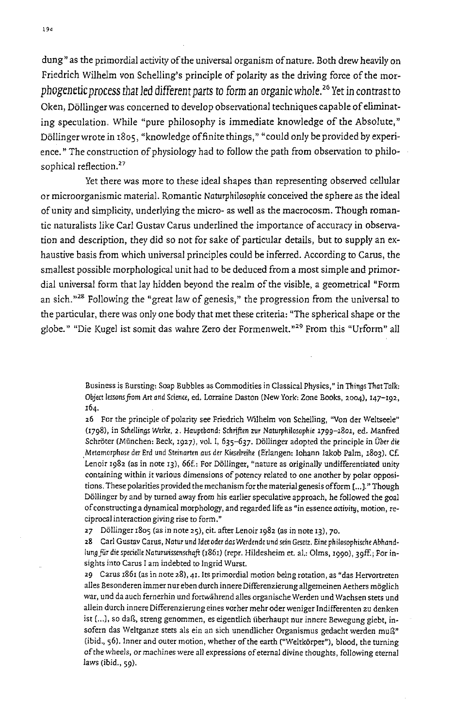dung" as the primordial activity of the universal organism of nature. Both drew heavily on Friedrich Wilhelm von Schelling's principle of polarity as the driving force of the morphogenetic process that led different *parts* to form an organic whole. 25 Yet in contrast to Oken, Döllinger was concerned to develop observational techniques capable of eliminating speculation. While "pure philosophy is immediate knowledge of the Absolute," Döllinger wrote in 1805, "knowledge of finite things," "could only be provided by experience." The construction of physiology had to follow the path from observation to philosophical reflection.<sup>27</sup>

Yet there was more to these ideal shapes than representing observed cellular or microorganismic material. Romantic Naturphilosophie conceived the sphere as the ideal of unity and simplicity, underlying the micro- as well as the macrocosm. Though romantic naturalists like Carl Gustav Carus underlined the importance of accuracy in observation and description, they did so not for sake of particular details, but to supply an exhaustive basis from which universal principles could be inferred. According to Carus, the smallest possible morphological unit had to be deduced from a most simple and primordial universal form that lay hidden beyond the realm of the visible, a geometrical "Form an sich."<sup>28</sup> Following the "great law of genesis," the progression from the universal to the particular, there was only one body that met these criteria: "The spherical shape or the globe." "Die Kugel ist somit das wahre Zero der Formenwelt."29 From this "Urform" all

> Business is Bursting: Soap Bubbles as Commodities in Classical Physics," in Things That Talk: Object lessons from Art and Science, ed. Lorraine Daston (New York: Zone Books, 2004), 147-192, 164.

> 26 For the principle of polarity see Friedrich Wilhelm van Schelling, "Van der Weltseele" (1798), in Schellings Werke, 2. Hauptband: Schriften zur Naturphilosophie 1799-1801, ed. Manfred Schröter (München: Beck, 1927), vol. I, 635-637. Döllinger adopted the principle in Über die Metamorphose der Erd und Steinarten aus der Kieselreihe (Erlangen: Iohann Iakob Palm, 1803). Cf. Lenoir 1982 (as in note 13), 66f.: For Döllinger, "nature as originally undifferentiated unity containing within it various dimensions of potency related to one another by polar oppositions. These polarities provided the mechanism for the material genesis ofform [ ... J." Though Dollinger by and by turned away from his earlier speculative approach, he followed the goal of constructing a dynamical morphology, and regarded life as "in essence *activity*, motion, re**ciprocal** interaction giving **rise to form."**

27 Dollinger 1805 (as in note 25), cit. after Lenoir 1982 (as in note 13), 70.

28 Carl Gustav Carus, Natur und Idee oder das Werdende und sein Gesetz. Eine philosophische Abhandlung für die specielle Naturwissenschaft (1861) (repr. Hildesheim et. al.: Olms, 1990), 39ff.; For insights into Carus I am indebted to Ingrid Wurst.

29 Cams 1861 (as in note 28), 4I.lts primordial motion being rotation, as "das Hervortreten alles Besonderen immer nur eben durch innere Differenzierung allgemeinen Aethers moglich war, und da auch fernerhin und fortwährend alles organische Werden und Wachsen stets und allein durch innere Differenzierung eines vorher mehr oder weniger Indifferenten zu denken ist [...], so daß, streng genommen, es eigentlich überhaupt nur innere Bewegung giebt, insofern das Weltganze stets als ein an sich unendlicher Organismus gedacht werden muß" (ibid., 56). Inner and outer motion, whether of the earth ("Weltkörper"), blood, the turning of the wheels, or machines were all expressions of eternal divine thoughts, following eternal laws (ibid., 59).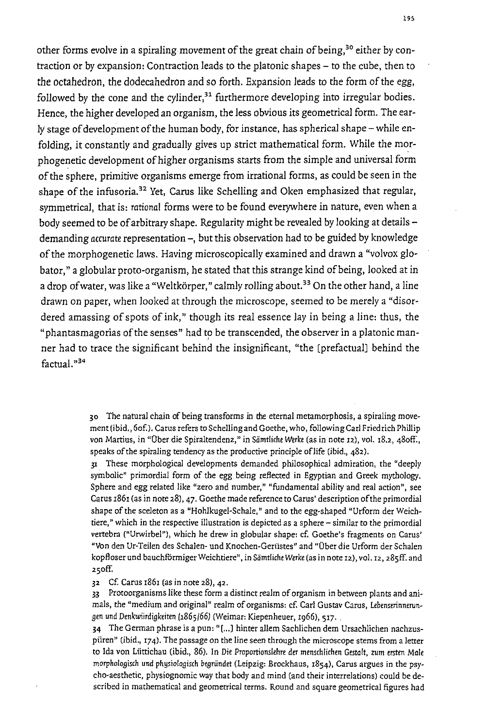other forms evolve in a spiraling movement of the great chain of being,<sup>30</sup> either by contraction or by expansion: Contraction leads to the platonic shapes - to the cube, then to the octahedron, the dodecahedron and so forth. Expansion leads to the form of the egg, followed by the cone and the cylinder, $31$  furthermore developing into irregular bodies. Hence, the higher developed an organism, the less obvious its geometrical form. The early stage of development of the human body, for instance, has spherical shape – while enfolding, it constantly and gradually gives up strict mathematical form. While the morphogenetic development of higher organisms starts from the simple and universal form of the sphere, primitive organisms emerge from irrational forms, as could be seen in the shape of the infusoria.<sup>32</sup> Yet, Carus like Schelling and Oken emphasized that regular, symmetrical, that is: rational forms were to be found everywhere in nature, even when a body seemed to be of arbitrary shape. Regularity might be revealed by looking at detailsdemanding *accurate* representation -, but this observation had to be guided by knowledge of the morphogenetic laws. Having microscopically examined and drawn a "volvox globator," a globular proto-organism, he stated that this strange kind of being, looked at in a drop of water, was like a "Weltkörper," calmly rolling about.<sup>33</sup> On the other hand, a line drawn on paper, when looked at through the microscope, seemed to be merely a "disordered amassing of spots of ink," though its real essence lay in being a line: thus, the "phantasmagorias of the senses" had to be transcended, the observer in a platonic manner had to trace the significant behind the insignificant, "the [prefactual) behind the factual."34

> 30 The natural chain of being transforms in the eternal metamorphosis, a spiraling movement(ibid., 60f.). Carus refers to Schellingand Goethe, who, foIlowingCarl Friedrich Phillip von Martius, in "Über die Spiraltendenz," in Sämtliche Werke (as in note 12), vol. 18.2, 480ff., speaks of the spiraling tendency as the productive principle of life (ibid., 482).

> 31 These morphological developments demanded philosophical admiration, the "deeply symbolic" primordial form of the egg being reflected in Egyptian and Greek mythology. Sphere and egg related like "zero and number," "fundamental ability and real action", see Carus 1861 (as in note 28),47. Goethe made reference to Carus' description of the primordial shape of the sceleton as a "Hohlkugel-Schale," and to the egg-shaped "Urform der weichtiere," which in the respective illustration is depicted as a sphere - similar to the primordial vertebra ("Urwirbel"), which he drew in globular shape: cf. Goethe's fragments on Carus' "Von den Ur-Teilen des Schalen- und Knochen-Geriistes" and "Dber die Urform der Schalen kopfloser und bauchförmiger Weichtiere", in Sämtliche Werke (as in note 12), vol. 12, 285ff. and 250ff.

32 Cf. Carus 1861 (as in note 28), 42.

33 Protoorganisms like these form a distinct realm of organism in between plants and animals, the "medium and original" realm of organisms: cf. Carl Gustav Carus, Lebenserinnerungen und Denkwiirdigkeiten (1865/66) (Weimar: Kiepenheuer, 1966), 517.

34 The German phrase is a pun: "( ... J hinter aUem Sachlichen dem Ursachlichen nachzuspiiren" (ibid., 174). The passage on the line seen through the microscope stems from a letter to Ida von Lüttichau (ibid., 86). In Die Proportionslehre der menschlichen Gestalt, zum ersten Male morphologisch und physiologisch begründet (Leipzig: Brockhaus, 1854), Carus argues in the psycho-aesthetic, physiognomic way that body and mind (and their interrelations) could be described in mathematical and geometrical terms. Round and square geometrical figures had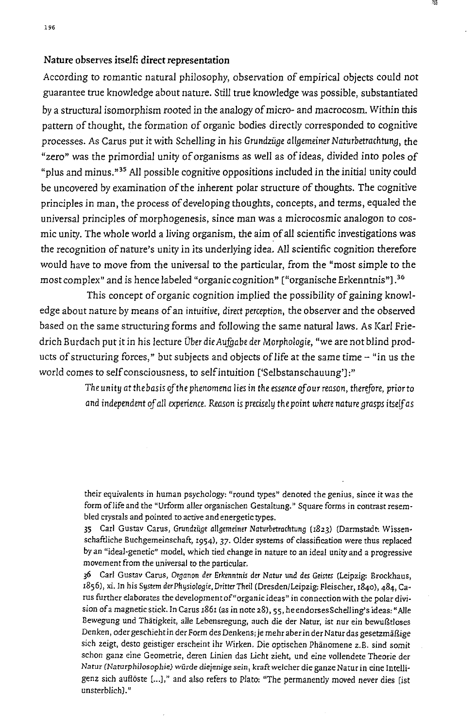## Nature observes itself: direct representation

According to romantic natural philosophy, observation of empirical objects could not guarantee true knowledge about nature. Still true *knowledge* was possible, substantiated by a structural isomorphism rooted in the analogy of micro- and macrocosm. Within this pattern of thought, the formation of organic bodies directly corresponded to cognitive processes. As Carus put it with Schelling in his *Grundziiae allaemeiner Naturbetrachtuna,* the "zero" was the primordial unity of organisms as well as of ideas, *divided* into poles of "plus and minus."35 All possible cognitive oppositions included in the initial unity could be uncovered by examination of the inherent polar structure of thoughts. The cognitive principles in man, the process of developing thoughts, concepts, and terms, equaled the universal principles of morphogenesis, since man was a microcosmic analogon to cosmic unity. The whole world a Jiving organism, the aim of all scientific investigations was the recognition of nature's unity in its underlying idea. All scientific cognition therefore would have to move from the universal to the particular, from the "most simple to the most complex" and is hence labeled "organic cognition" ["organische Erkenntnis"J.36

This concept of organic cognition implied the possibility of gaining knowledge about nature by means of an *intuitive, direct perception,* the observer and the observed based on the same structuring forms and following the same natural laws. As Karl Friedrich Burdach put it in his lecture Über die Aufgabe der Morphologie, "we are not blind products of structuring forces," but subjects and objects of life at the same time - "in us the *world* comes to self consciousness, to selfintuition ['Selbstanschauung']:"

> The unity at the basis of the phenomena lies in the essence of our reason, therefore, prior to and *independent of* all *experience. Reason* is *precisely the* point *where nature arasps itself* as

> their equivalents in human psychology: "round types" denoted the genius, since it was the form of life and the "Urform aller organischen Gestaltung." Square forms in contrast resembled crystals and pointed to active and energetic types.

> 35 Carl Gustav Carus, Grundzüge allgemeiner Naturbetrachtung (1823) (Darmstadt: Wissenschaftliche Buchgemeinschaft, 1954), 37. Older systems of classification were thus replaced by an "ideal-genetic" model, which tied change in nature to an ideal unity and a progressive movement from the universal to the particular.

> 36 Carl Gustav Carus, Organon der Erkenntnis der Natur und des Geistes (Leipzig: Brockhaus, 1856), xi. In his System der Physiologie, Dritter Theil (Dresden/Leipzig: Fleischer, 1840), 484, Carus further elaborates the development of "organic ideas" in connection with the polar division of a magnetic stick. In Carus 1861 (as in note 28),55, heendorsesScheIling's ideas: "Alle Bewegung und Thätigkeit, alle Lebensregung, auch die der Natur, ist nur ein bewußtloses Denken, oder geschieht in der Form des Denkens; je mehr aber in der Natur das gesetzmäßige sich zeigt, desto geistiger erscheint ihr Wirken. Die optischen Phänomene z.B. sind somit schon ganz eine Geometrie, deren tinien das ticht zieht, und eine vollendete Theorie der Natur (Naturphilosopbie) *wiirde* diejenige sein, ktaft welcher die ganze Natur in eine Imelligenz sich auflöste [...]," and also refers to Plato: "The permanently moved never dies [ist unsterblich]."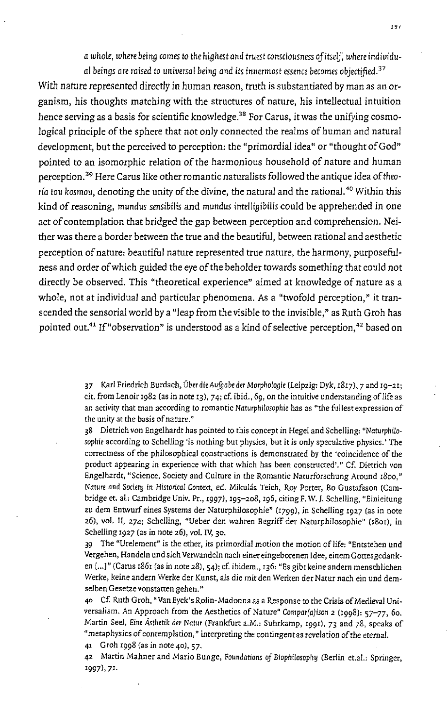a *whole, where bein9 comes* to *the hi9hest* and *truest consciousness ofitseU: where individu-*

al beings are raised to universal being and its innermost essence becomes objectified. <sup>37</sup> *With* nature represented directly in human reason, truth is substantiated by man as an organism, his thoughts matching with the structures of nature, his intellectual intuition hence serving as a basis for scientific knowledge.<sup>38</sup> For Carus, it was the unifying cosmological principle of the sphere that not only connected the realms of human and natural development, but the perceived to perception: the "primordial idea" or "thought of God" pointed to an isomorphic relation of the harmonious household of nature and human perception.<sup>39</sup> Here Carus like other romantic naturalists followed the antique idea of theo*rfa tou* kosmou, denoting the unity of the divine, the natural and the rational. 40 Within this kind of reasoning, *mundus* sensibilis and *mundus* intelli9ibilis could be apprehended in one act of contemplation that bridged the gap between perception and comprehension. Neither was there a border between the true and the beautiful, between rational and aesthetic perception of nature: beautiful nature represented true nature, the harmony, purposefulness and order of which guided the eye of the beholder towards something that could not directly be observed. This "theoretical experience" aimed at knowledge of nature as a whole, not at individual and particular phenomena. As a "twofold perception," it transcended the sensorial world by a "leap from the visible to the invisible," as Ruth Groh has pointed out.<sup>41</sup> If "observation" is understood as a kind of selective perception,<sup>42</sup> based on

> 37 Karl Friedrich Surdach, Dber die *Aufgabe* der *Morphologie* (Leipzig: Dyk, 1817), 7 and '9-2'; cit. from Lenoir 1982 (as in note 13), 74; cf. ibid., 69, on the intuitive understanding of life as an activity that man according to romantic Naturphilosophie has as "the fullest expression of the unity at the basis of nature."

> 38 Dietrich *van* Engelhardt has pointed to this concept in Hegel and Schelling: *"Naturphilo.*  sophie according to Schelling 'is nothing but physics, but it is only speculative physics.' The correctness of the philosophical constructions is demonstrated by the 'coincidence of the product appearing in experience with that which has been constructed'." Cf. Dietrich von Engelhardt, "Science, Society and Culture in the Romantic Naturforschung Around 1800," Nature *and Society* in *Historical* Context, ed. Mikulas Teich, Ray Porter, Bo Gustafsson (Cambridge et. al.: Cambridge Univ. Pr., 1997), '95-208, '96, citing F. W. J. Schelling, "Einleitung zu dem Entwurf eines Systems der Naturphilosophie" (1799), in Schelling 1927 (as in note 26), vol. II, 274; Schelling, "Ueber den wahren Begriff der Naturphilosophie" (1801), in Schelling 1927 (as in note 26), vol. IV, 30.

> 39 The "Ure!ement" is the ether, its primordial motion the motion of life: "Entstehen und Vergehen, Handeln und sich Verwandeln nach einer eingeborenen Idee, einem Gottesgedanken [...]" (Carus 1861 (as in note 28), 54); cf. ibidem., 136: "Es gibt keine andern menschlichen Werke, keine andem Werke der Kunst, als die mitden Werken der Natur nach ein und demse!ben Gesetze vonstatten gehen."

> 40 Cf. Ruth Groh, "Van Eyck's Rolin· Madonna as a Response to the Crisis of Medieval Universalism. An Approach from the Aesthetics of Nature" *Compar(a)ison* 2 (1998): 57-77, 60. Martin Seel, Eine Ästhetik der Natur (Frankfurt a.M.: Suhrkamp, 1991), 73 and 78, speaks of "metaphysics of contemplation," interpreting the contingent as revelation of the eternal.

41 Groh 1998 (as in note 40), 57.

42 Martin Mahner and Mario Bunge, Foundations of Biophilosophy (Berlin et.al.: Springer, '997),71.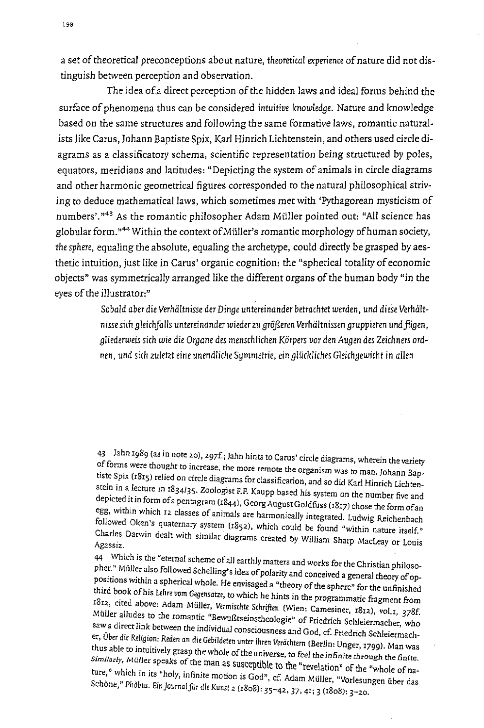a set of *theoretical* preconceptions about nature, *theoretical experience* of nature did not distinguish between perception and observation.

The idea ofa direct perception of the hidden laws and ideal forms behind the surface of phenomena thus can be considered *intuitive knowledge.* Nature and knowledge based on the same structures and *following* the same formative laws, romantic naturalists like Carus, Johann Baptiste Spix, Karl Hinrich Lichtenstein, and others used circle diagrams as a cJassificatory schema, scientific representation being structured by *poles,*  equators, meridians and latitudes: "Depicting the system of animals in circle diagrams and other harmonic geometrical figures corresponded to the natural philosophical striving to deduce mathematical laws, which sometimes met with 'Pythagorean mysticism of numbers'.<sup>"43</sup> As the romantic philosopher Adam Müller pointed out: "All science has globular form."<sup>44</sup> Within the context of Müller's romantic morphology of human society, the sphere, equaling the absolute, equaling the archetype, could directly be grasped by aesthetic intuition, just like in Carus' organic cognition: the "spherical totality of economic objects" was symmetrically arranged like the different organs of the human body "in the eyes of the *illustrator:"* 

> Sobald aber die Verhältnisse der Dinge untereinander betrachtet werden, und diese Verhält*nisse* sich *gleichfalls untereinander wieder* zu *grofteren Verhultnissen gruppieren undfogen,*  gliederweis sich wie die Organe des menschlichen Körpers vor den Augen des Zeichners ord*nen,* und *sich zuletzt eine unendliche Symmetrie, ein gliickliches Gleichgewicht* in *alien*

43 Jahn 1989 (as in note 20), 297f; Jahn hints to Carus' circle diagrams, wherein the variety of forms were thought to increase, the more remote the organism was to man. Johann Baptiste Spix (1815) relied on circle diagrams for classification, and so did Karl Hinrich Lichter. stein in a lecture in 1834/35. Zoologist F.F. Kaupp based his system on the number five and depicted it in form of a pentagram (1844), Georg August Goldfiiss (1817) chose the form of an egg, within which 12 classes of animals are harmonically integrated. Ludwig Reichenbach followed Oken's quaternary system (1852), which could be found "within nature itself." Charles Darwin dealt with similar diagrams created by William Sharp MacLeay or Louis<br>Agassiz.

44 Which is the "eternal scheme of all earthly matters and works for the Christian philosopher." Müller also followed Schelling's idea of polarity and conceived a general theory of oppositions within a spherical whole. He envisaged a "theory of the sphere" for the unfinished third book of his Lehre vom Gegensatze, to which he hints in the programmatic fragment from 1812, cited above: Adam Müller, *Vermischte Schriften* (Wien: Camesiner, 1812), vol.1, 378f. Müller alludes to the romantic "Bewußtseinstheologie" of Friedrich Schleiermacher, who  $\tan a$  direct link between the individual consciousness and God, cf. Friedrich Schleiermacher, *Vber* die RdlglOn: Reden an die Gebildtten unter ihren *Verachtern* (Berlin: Vnger, 1799). Man was thus able to intuitively grasp the whole of the universe, to feel the infinite through the finite.<br>Similarly, Müller speaks of the man as susceptible to the "revelation" of the "whole of nature," which in its "holy, infinite motion is God", cf. Adam Müller, "Vorlesungen über das<br>Schöne," Phöbus. Ein Journal für die Kunst 2 (1808): 35–42, 37, 41; 3 (1808): 3–20.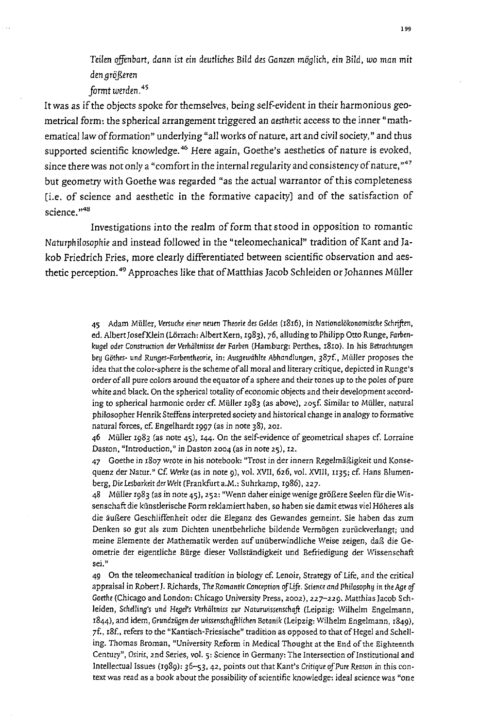*Teilen* ojfenbart, dann *ist ein deutliches* Bild *des Ganzen mOBlich, ein* Bild, *wo* man mit den arößeren

*formt werden. 4S* 

It was as if the objects spoke for themselves, being self-evident in their harmonious geometrical form: the spherical arrangement triggered an *aesthetic* access to the inner "mathematical law of formation" underlying "all works of nature, art and civil society," and thus supported scientific knowledge.<sup>46</sup> Here again, Goethe's aesthetics of nature is evoked, since there was not only a "comfort in the internal regularity and consistency of nature,"47 but geometry with Goethe was regarded "as the actual warrantor of this completeness [i.e. of science and aesthetic in the formative capacity] and of the satisfaction of science.<sup>"48</sup>

Investigations into the realm of form that stood in opposition to romantic *Naturphilosophie* and instead followed in the "teleomechanical" tradition of Kant and Jakob Friedrich Fries, more clearly differentiated between scientific observation and aesthetic perception.<sup>49</sup> Approaches like that of Matthias Jacob Schleiden or Johannes Müller

> 45 Adam Müller, Versuche einer neuen Theorie des Geldes (1816), in Nationalökonomische Schriften, ed. Albert Josef Klein (Lörrach: Albert Kern, 1983), 76, alluding to Philipp Otto Runge, *Farben*kugel oder Construction der Verhältnisse der Farben (Hamburg: Perthes, 1810). In his Betrachtungen bey Göthes- und Runges-Farbentheorie, in: Ausgewählte Abhandlungen, 387f., Müller proposes the idea that the calor-sphere is the scheme of all moral and literary critique, depicted in Runge's order of all pure colors around the equator of a sphere and their tones up to the poles of pure white and black. On the spherical totality of economic objects and their development according to spherical harmonic order cf. Müller 1983 (as above), 205f. Similar to Müller, natural philosopher Henrik Steffens interpreted society and historical change in analogy to formative natural forces, cf. Engelhardt 1997 (as in note 38),201.

> 46 Muller 1983 (as note 45), 144. On the self-evidence of geometrical shapes cf. Lorraine Daston, "Introduction," in Daston 2004 (as in note 25), 12.

> 47 Goethe in 1807 wrote in his notebook: "Trost in der innern Regelmiiaigkeit und Konsequenz der Natur." Cf. Werke (as in note 9), vol. XVII, 626, vol. XVIII, 1135; cf. Hans Blumenberg, Die Lesbarkeit der Welt (Frankfurt a.M.: Suhrkamp, 1986), 227.

> 48 Müller 1983 (as in note 45), 252: "Wenn daher einige wenige größere Seelen für die Wissenschalt die kiinstlerische Form reklamiert haben, so ha ben sie damit etwas viel Hoheres als die äußere Geschliffenheit oder die Eleganz des Gewandes gemeint. Sie haben das zum Denken so gut als zum Dichten unentbehrliche bildende Vermogen zuriickverIangt; und meine Elemente der Mathematik werden auf unüberwindliche Weise zeigen, daß die Geometrie der eigentliche Biirge dieser VoIlsrandigkeit und Befriedigung der Wissenschaft **sei."**

> 49 On the teleomechanical tradition in biology cf. Lenoir, Strategy of Life, and the critical appraisal in Robert J. Richards, The Romantic Conception of Life. Science and Philosophy in the Age of Goethe (Chicago and London: Chicago University Press, 2002), 227-229. Matthias Jacob Schleiden, Schelling's und Hegel's Verhältniss zur Naturwissenschaft (Leipzig: Wilhelm Engelmann, 1844), and idem, Grundzügen der wissenschaftlichen Botanik (Leipzig: Wilhelm Engelmann, 1849), 7f., 18f., refers to the "Kantisch-Friesische" tradition as opposed to that of Hegel and Schelling. Thomas Broman, "University Reform in Medical Thought at the End of the Eighteenth Century", Osiris, 2nd Series, vol. 5: Science in Germany: The Intersection of Institutional and Intellectual Issues (1989): 36--53, 42, points out that Kant's Critique of Pure Reason in this context was read as a book about the possibility of scientific knowledge: ideal science was "one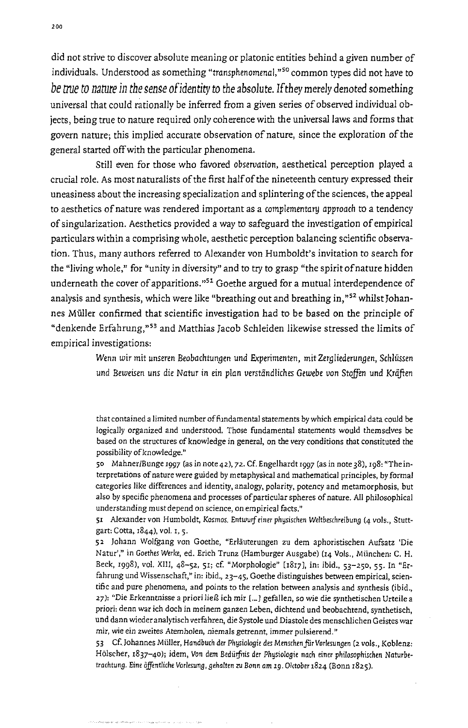did not strive to discover absolute meaning or platonic entities behind a given number of individuals. Understood as something "transphenomenal,"<sup>50</sup> common types did not have to *be true to nature in the sense ofidentity* to *the* absolute. If *they* merely denoted something universal that could rationally be inferred from a given series of observed individual objects, being true to nature required only coherence with the universal laws and forms that govern nature; this implied accurate observation of nature, since the exploration of the general started off with the particular phenomena.

Still even for those who favored *observation,* aesthetical perception played a crucial role. As most naturalists of the first half of the nineteenth century expressed their uneasiness about the increasing specialization and splintering of the sciences, the appeal to aesthetics of nature was rendered important as a complementary *approach* to a tendency of singularization. Aesthetics provided a way to safeguard the investigation of empirical particulars within a comprising whole, aesthetic perception balancing scientific observation. Thus, many authors referred to Alexander von Humboldt's invitation to search for the "living whole," for "unity in diversity" and to try to grasp "the spirit of nature hidden underneath the cover of apparitions."<sup>51</sup> Goethe argued for a mutual interdependence of analysis and synthesis, which were like "breathing out and breathing in,"<sup>52</sup> whilst Johannes Muller confirmed that scientific investigation had to be based on the principle of "denkende Erfahrung,"<sup>53</sup> and Matthias Jacob Schleiden likewise stressed the limits of empirical investigations:

> *Wenn WiT* mit unseren Beobachtungen und *Experimenten,* mit *Zergliederungen,* Schliissen und *Beweisen uns die Natur* in ein plan *verstiindIiches Gewebe von Stolfen* und *Kriiften*

> that contained a limited number of fundamental statements by which empirical data could be logically organized and understood. Those fundamental statements would themselves be based on the structures of knowledge in general, on the very conditions that constituted the possibility of knowledge."

> 50 Mahner/Bunge 1997 (as in note 42), 72. Cf. Engelhardt 1997 (as in note 38), 198: "The interpretations of nature were guided by metaphysical and mathematical principles, by formal categories like differences and identity, analogy, polarity, potency and metamorphosis, but also by specific phenomena and processes of particular spheres of nature. All philosophical understanding must depend on science, on empirical facts."

> 51 Alexander von Humboldt, Kosmos. Entwurf einer physischen Weltbeschreibung (4 vols., Stuttgart: Cotta, 1844), *vol.* t, S.

> 52 lohann Wolfgang von Goethe, "Erliiuterungen zu dem aphoristischen Aufsatz 'Die Natur'," in Goethes Werke, ed. Erich Trunz (Hamburger Ausgabe) (14 Vols., München: C. H. Beck, 1998), *vol.* XIll, 48-52, 51; cf. "Morphologie" [1817J, in: ibid., 53-250, 55. In "Erfahrung und Wissenschaft," in: ibid., 23-45, Goethe distinguishes between empirical, scientific and pure phenomena, and points to the relation between analysis and synthesis (ibid., 27): "Die Erkenntnisse a priori ließ ich mir [...] gefallen, so wie die synthetischen Urteile a priori: denn war ich doch in meinem ganzen Leben, dichtend und beobachtend, synthetisch, und dann wiederanalytisch verfahren, die Systole und Diastole des menschlichen Geistes war **mir, wie ein zweites AtemhoJen, niemals getrennt, immer pulsierend."**

> 53 Cf. Johannes Müller, Handbuch der Physiologie des Menschen für Vorlesungen (2 vols., Koblenz: Hölscher, 1837-40); idem, Von dem Bedürfnis der Physiologie nach einer philosophischen Naturbetrachtung. Eine öffentliche Vorlesung, gehalten zu Bonn am 19. Oktober 1824 (Bonn 1825).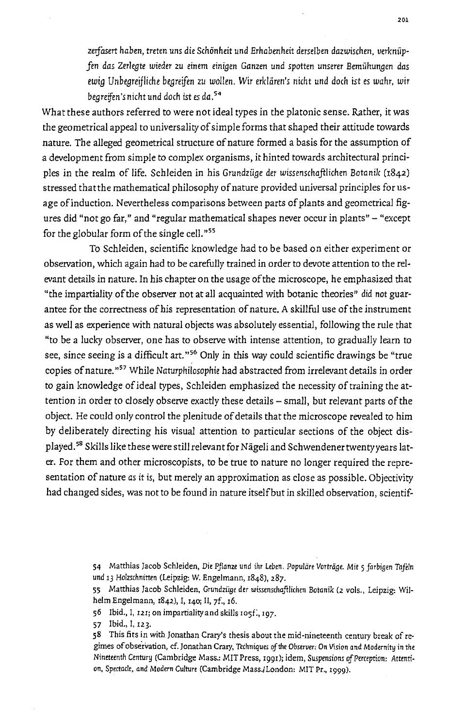*leIjasert haben, treten uns* die Schonheit und *Erhabenheit derselben dazwischen,* verkniip*fen das Zerlegte wieder* zu einem *einigen Ganzen* und *spotten* unserer *Bemiihungen das ewig Unbegreifliche begreifen zu wollen. Wir erklären's nicht und doch ist es wahr, wir begrejfen's* nicht und do ch *ist es da.54* 

What these authors referred to were not ideal types in the platonic sense. Rather, it was the geometrical appeal to universality of simple forms that shaped their attitude towards nature. The alleged geometrical structure of nature formed a basis for the assumption of a development from simple to complex organisms, it hinted towards architectural principles in the realm of life. Schleiden in his *Grundziige der wissenschaftlichen* Botanik (1842) stressed thatthe mathematical philosophy of nature provided universal principles for usage of induction. Nevertheless comparisons between parts of plants and geometrical figures did "not go far," and "regular mathematical shapes never occur in plants" - "except for the globular form of the single cell."<sup>55</sup>

To Schleiden, scientific knowledge had to be based on either experiment or observation, which again had to be carefully trained in order to devote attention to the relevant details in nature. In his chapter on the usage of the microscope, he emphasized that "the impartiality of the observer not at all acquainted with botanic theories" did not guarantee for the correctness of his representation of nature. A skillful use of the instrument as well as experience with natural objects was absolutely essential, following the rule that "to be a lucky observer, one has to observe with intense attention, to gradually learn to see, since seeing is a difficult art."<sup>56</sup> Only in this way could scientific drawings be "true copies of nature."<sup>57</sup> While Naturphilosophie had abstracted from irrelevant details in order to gain knowledge of ideal types, Schleiden emphasized the necessity of training the attention in order to closely observe exactly these details - small, but relevant parts of the object. He could only control the plenitude of details that the microscope revealed to him by deliberately directing his visual attention to particular sections of the object displayed.<sup>58</sup> Skills like these were still relevant for Nägeli and Schwendener twenty years later. For them and other microscopists, to be true to nature no longer required the representation of nature *as* it *is,* but merely an approximation as close as possible. Objectivity had changed sides, was not to be found in nature itself but in skilled observation, scientif-

> 54 Matthias Jacob Schleiden, Die Pflanze und ihr Leben. Populäre Vorträge. Mit 5 farbigen Tafeln und 13 Holzschnitten (Leipzig: W. Engelmann, 1848), 287.

> 55 Matthias Jacob Schleiden, Grundziige der wissenschaftlichen Botanik (2 vols., Leipzig: Wilhelm Engelmann, 1842), I, 140; II, 7f., 16.

56 Ibid., I, 121; on impartiality and skills 1051:, 197.

57 Ibid., I, 123.

58 This fits in with Jonathan Crary's thesis about the mid-nineteenth century break of regimes of observation, cf. Jonathan Crary, Techniques of the Observer: On Vision and Modernity in the Nineteenth Century (Cambridge Mass.: MIT Press, 1991); idem, Suspensions qfPerception: Attention, Spectacle, and Modern Culture (Cambridge Mass./London: MIT Pr., 1999).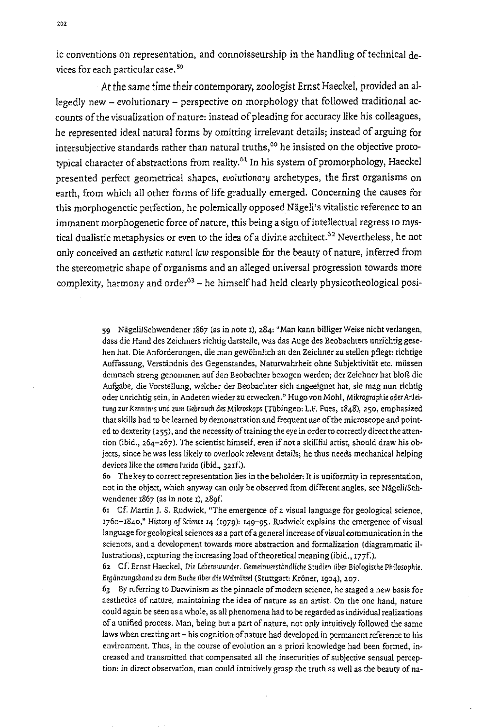ic conventions on representation, and connoisseurship in the handling of technical devices for each particular case. 59

At *the* same time their contemporary, zoologist Ernst Haeckel, provided an allegedly new - evolutionary - perspective on morphology that followed traditional accounts of the visualization of nature: instead of pleading for accuracy like his colleagues, he represented ideal natural forms by omitting irrelevant details; instead of arguing for intersubjective standards rather than natural truths,<sup>60</sup> he insisted on the objective prototypical character of abstractions from reality.<sup>61</sup> In his system of promorphology, Haeckel presented perfect geometrical shapes, evolutionary archetypes, the first organisms on earth, from which all other forms of life gradually emerged. Concerning the causes for this morphogenetic perfection, he polemically opposed Nägeli's vitalistic reference to an immanent morphogenetic force of nature, this being a sign ofintellectual regress to mystical dualistic metaphysics or even to the idea of a divine architect.<sup>62</sup> Nevertheless, he not only conceived an *aesthetic* natural *law* responsible for the beauty of nature, inferred from the stereometric shape of organisms and an alleged universal progression towards more complexity, harmony and order<sup>63</sup> - he himself had held clearly physicotheological posi-

> 59 Nägeli/Schwendener 1867 (as in note 1), 284: "Man kann billiger Weise nicht verlangen, dass die Hand des Zeichners richtig darstelle, was das Auge des Beobachters unrichtig gesehen hat. Die Anforderungen, die man gewohnlich an den Zeichner zu stellen pflegt: richtige Auffassung, Verständnis des Gegenstandes, Naturwahrheit ohne Subjektivität etc. müssen demnach streng genommen auf den Beobachter bezogen werden; der Zeichner hat blog die Aufgabe, die Vorstellung, welcher der Beobachter sich angeeignet hat, sie mag nun richtig oder unrichtig sein, in Anderen wieder zu erwecken." Hugo von Mohl, Mikrographie oder Anleitung zur Kenntnis und zum Gebrauch des Mikroskops (Tübingen: L.F. Fues, 1848), 250, emphasized that skills had to be learned by demonstration and frequent use of the microscope and pointed to dexterity (255), and the necessity of training the eye in order to correctly direct the attention (ibid., 264-267). The scientist himself, even if not a skillfiil artist, should draw his objects, since he was less likely to overlook relevant details; he thus needs mechanical helping devices like the camera lucida (ibid., 321f:).

> 60 The key to correct representation lies in the beholder: It is uniformity in representation, not in the object, which anyway can only be observed from different angles, see Nägeli/Schwendener 1867 (as in note 1), 289f.

> 61 Cf. Martin J. S. Rudwick, "The emergence of a visual language for geological science,  $1760 - 1840$ ," History of Science 14 (1979):  $149 - 95$ . Rudwick explains the emergence of visual language for geological sciences as a part of a general increase of visual communication in the sciences, and a development towards more abstraction and formalization (diagrammatic Hlustrations), capturing the increasing load of theoretical meaning (ibid., 177f.).

> 62 cr: Ernst Haeckel, Die Lebenswunder. GemeinverstiindIiche Studien iiber Biologi5che Philosophie. Ergänzungsband zu dem Buche über die Welträtsel (Stuttgart: Kröner, 1904), 207.

> 63 By referring to Darwinism as the pinnacle of modern science, he staged a new basis for **aesthetics of nature) maintaining the idea of nature as an artist. On the one hand, nature**  could again be seen as a whole, as all phenomena had to be regarded as individual realizations of a unified process. Man, being but a part of nature, not only intuitively followed the same laws when creating art - his cognition of nature had developed in permanent reference to his environment. Thus, in the course of evolution an a priori knowledge had been formed, increased and transmitted that compensated all the insecurities of subjective sensual perception: in direct observation, man could intuitively grasp the truth as well as the beauty of na-